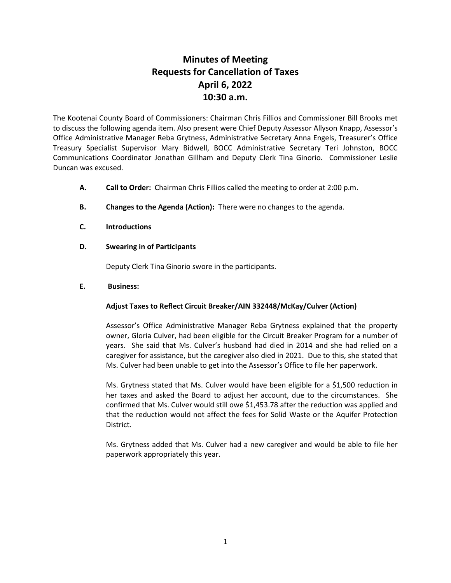## **Minutes of Meeting Requests for Cancellation of Taxes April 6, 2022 10:30 a.m.**

The Kootenai County Board of Commissioners: Chairman Chris Fillios and Commissioner Bill Brooks met to discuss the following agenda item. Also present were Chief Deputy Assessor Allyson Knapp, Assessor's Office Administrative Manager Reba Grytness, Administrative Secretary Anna Engels, Treasurer's Office Treasury Specialist Supervisor Mary Bidwell, BOCC Administrative Secretary Teri Johnston, BOCC Communications Coordinator Jonathan Gillham and Deputy Clerk Tina Ginorio. Commissioner Leslie Duncan was excused.

- **A. Call to Order:** Chairman Chris Fillios called the meeting to order at 2:00 p.m.
- **B. Changes to the Agenda (Action):** There were no changes to the agenda.
- **C. Introductions**
- **D. Swearing in of Participants**

Deputy Clerk Tina Ginorio swore in the participants.

## **E. Business:**

## **Adjust Taxes to Reflect Circuit Breaker/AIN 332448/McKay/Culver (Action)**

Assessor's Office Administrative Manager Reba Grytness explained that the property owner, Gloria Culver, had been eligible for the Circuit Breaker Program for a number of years. She said that Ms. Culver's husband had died in 2014 and she had relied on a caregiver for assistance, but the caregiver also died in 2021. Due to this, she stated that Ms. Culver had been unable to get into the Assessor's Office to file her paperwork.

Ms. Grytness stated that Ms. Culver would have been eligible for a \$1,500 reduction in her taxes and asked the Board to adjust her account, due to the circumstances. She confirmed that Ms. Culver would still owe \$1,453.78 after the reduction was applied and that the reduction would not affect the fees for Solid Waste or the Aquifer Protection District.

Ms. Grytness added that Ms. Culver had a new caregiver and would be able to file her paperwork appropriately this year.